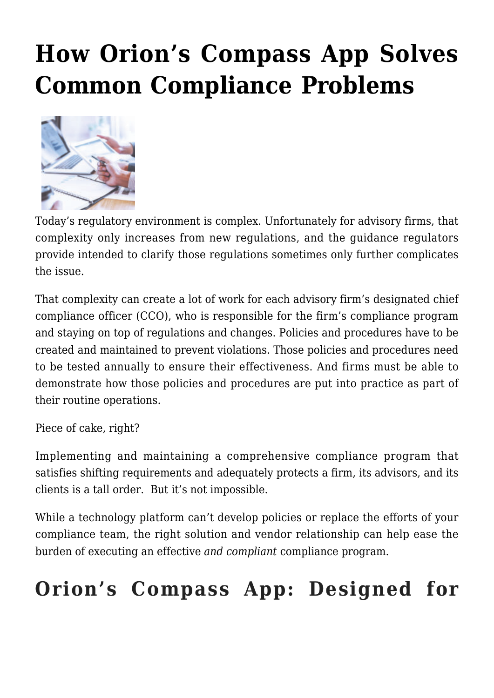## **[How Orion's Compass App Solves](https://orionadvisortech.com/blog/how-orions-compass-app-solves-common-compliance-problems/) [Common Compliance Problems](https://orionadvisortech.com/blog/how-orions-compass-app-solves-common-compliance-problems/)**



Today's regulatory environment is complex. Unfortunately for advisory firms, that complexity only increases from new regulations, and the guidance regulators provide intended to clarify those regulations sometimes only further complicates the issue.

That complexity can create a lot of work for each advisory firm's designated chief compliance officer (CCO), who is responsible for the firm's compliance program and staying on top of regulations and changes. Policies and procedures have to be created and maintained to prevent violations. Those policies and procedures need to be tested annually to ensure their effectiveness. And firms must be able to demonstrate how those policies and procedures are put into practice as part of their routine operations.

Piece of cake, right?

Implementing and maintaining a comprehensive compliance program that satisfies shifting requirements and adequately protects a firm, its advisors, and its clients is a tall order. But it's not impossible.

While a technology platform can't develop policies or replace the efforts of your compliance team, the right solution and vendor relationship can help ease the burden of executing an effective *and compliant* compliance program.

## **Orion's Compass App: Designed for**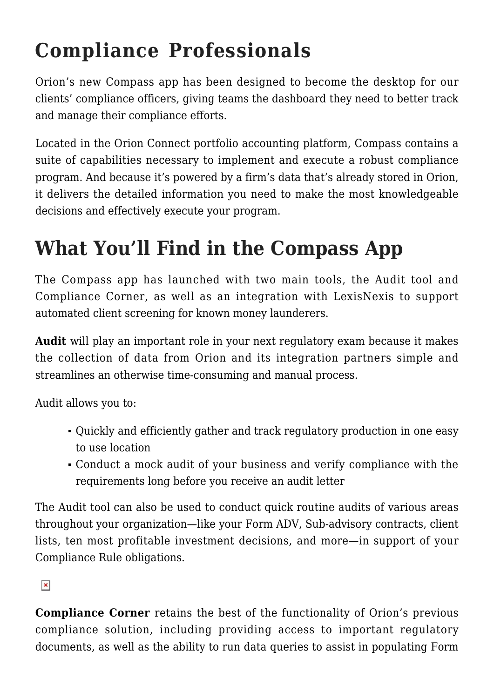## **Compliance Professionals**

Orion's new Compass app has been designed to become the desktop for our clients' compliance officers, giving teams the dashboard they need to better track and manage their compliance efforts.

Located in the Orion Connect portfolio accounting platform, Compass contains a suite of capabilities necessary to implement and execute a robust compliance program. And because it's powered by a firm's data that's already stored in Orion, it delivers the detailed information you need to make the most knowledgeable decisions and effectively execute your program.

## **What You'll Find in the Compass App**

The Compass app has launched with two main tools, the Audit tool and Compliance Corner, as well as an integration with LexisNexis to support automated client screening for known money launderers.

**Audit** will play an important role in your next regulatory exam because it makes the collection of data from Orion and its integration partners simple and streamlines an otherwise time-consuming and manual process.

Audit allows you to:

- Quickly and efficiently gather and track regulatory production in one easy to use location
- Conduct a mock audit of your business and verify compliance with the requirements long before you receive an audit letter

The Audit tool can also be used to conduct quick routine audits of various areas throughout your organization—like your Form ADV, Sub-advisory contracts, client lists, ten most profitable investment decisions, and more—in support of your Compliance Rule obligations.

 $\pmb{\times}$ 

**Compliance Corner** retains the best of the functionality of Orion's previous compliance solution, including providing access to important regulatory documents, as well as the ability to run data queries to assist in populating Form